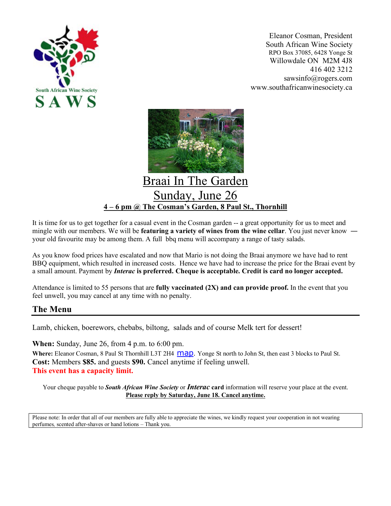

Eleanor Cosman, President South African Wine Society RPO Box 37085, 6428 Yonge St Willowdale ON M2M 4J8 416 402 3212 sawsinfo@rogers.com www.southafricanwinesociety.ca



## Sunday, June 26 **4 – 6 pm @ The Cosman's Garden, 8 Paul St., Thornhill**

It is time for us to get together for a casual event in the Cosman garden -- a great opportunity for us to meet and mingle with our members. We will be **featuring a variety of wines from the wine cellar**. You just never know ― your old favourite may be among them. A full bbq menu will accompany a range of tasty salads.

As you know food prices have escalated and now that Mario is not doing the Braai anymore we have had to rent BBQ equipment, which resulted in increased costs. Hence we have had to increase the price for the Braai event by a small amount. Payment by *Interac* **is preferred. Cheque is acceptable. Credit is card no longer accepted.**

Attendance is limited to 55 persons that are **fully vaccinated (2X) and can provide proof.** In the event that you feel unwell, you may cancel at any time with no penalty.

## **The Menu**

Lamb, chicken, boerewors, chebabs, biltong, salads and of course Melk tert for dessert!

**When:** Sunday, June 26, from 4 p.m. to 6:00 pm. Where: Eleanor Cosman, 8 Paul St Thornhill L3T 2H4  $\overline{Map}$ . Yonge St north to John St, then east 3 blocks to Paul St. **Cost:** Members **\$85.** and guests **\$90.** Cancel anytime if feeling unwell. **This event has a capacity limit.**

Your cheque payable to *South African Wine Society* or *Interac* **card** information will reserve your place at the event. **Please reply by Saturday, June 18. Cancel anytime.**

Please note: In order that all of our members are fully able to appreciate the wines, we kindly request your cooperation in not wearing perfumes*,* scented after-shaves or hand lotions – Thank you.